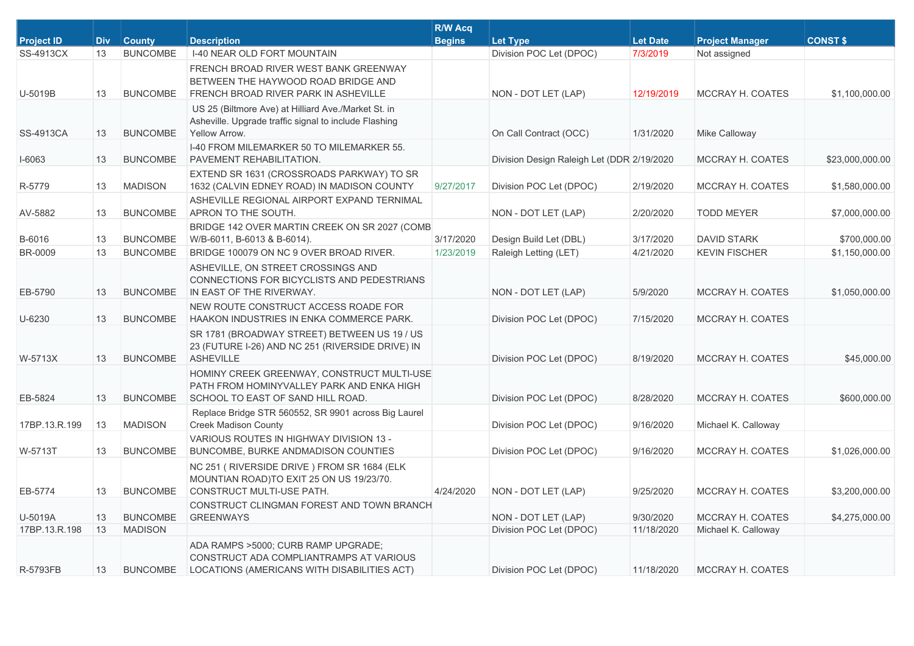| <b>Project ID</b> | <b>Div</b> | <b>County</b>   | <b>Description</b>                                                                                                            | <b>R/W Acq</b><br><b>Begins</b> | <b>Let Type</b>                            | <b>Let Date</b> | <b>Project Manager</b> | <b>CONST \$</b> |
|-------------------|------------|-----------------|-------------------------------------------------------------------------------------------------------------------------------|---------------------------------|--------------------------------------------|-----------------|------------------------|-----------------|
| SS-4913CX         | 13         | <b>BUNCOMBE</b> | I-40 NEAR OLD FORT MOUNTAIN                                                                                                   |                                 | Division POC Let (DPOC)                    | 7/3/2019        | Not assigned           |                 |
| U-5019B           | 13         | <b>BUNCOMBE</b> | FRENCH BROAD RIVER WEST BANK GREENWAY<br>BETWEEN THE HAYWOOD ROAD BRIDGE AND<br>FRENCH BROAD RIVER PARK IN ASHEVILLE          |                                 | NON - DOT LET (LAP)                        | 12/19/2019      | MCCRAY H. COATES       | \$1,100,000.00  |
| <b>SS-4913CA</b>  | 13         | <b>BUNCOMBE</b> | US 25 (Biltmore Ave) at Hilliard Ave./Market St. in<br>Asheville. Upgrade traffic signal to include Flashing<br>Yellow Arrow. |                                 | On Call Contract (OCC)                     | 1/31/2020       | Mike Calloway          |                 |
| I-6063            | 13         | <b>BUNCOMBE</b> | I-40 FROM MILEMARKER 50 TO MILEMARKER 55.<br>PAVEMENT REHABILITATION.                                                         |                                 | Division Design Raleigh Let (DDR 2/19/2020 |                 | MCCRAY H. COATES       | \$23,000,000.00 |
| R-5779            | 13         | <b>MADISON</b>  | EXTEND SR 1631 (CROSSROADS PARKWAY) TO SR<br>1632 (CALVIN EDNEY ROAD) IN MADISON COUNTY                                       | 9/27/2017                       | Division POC Let (DPOC)                    | 2/19/2020       | MCCRAY H. COATES       | \$1,580,000.00  |
| AV-5882           | 13         | <b>BUNCOMBE</b> | ASHEVILLE REGIONAL AIRPORT EXPAND TERNIMAL<br>APRON TO THE SOUTH.                                                             |                                 | NON - DOT LET (LAP)                        | 2/20/2020       | <b>TODD MEYER</b>      | \$7,000,000.00  |
| B-6016            | 13         | <b>BUNCOMBE</b> | BRIDGE 142 OVER MARTIN CREEK ON SR 2027 (COMB<br>W/B-6011, B-6013 & B-6014).                                                  | 3/17/2020                       | Design Build Let (DBL)                     | 3/17/2020       | <b>DAVID STARK</b>     | \$700,000.00    |
| <b>BR-0009</b>    | 13         | <b>BUNCOMBE</b> | BRIDGE 100079 ON NC 9 OVER BROAD RIVER.                                                                                       | 1/23/2019                       | Raleigh Letting (LET)                      | 4/21/2020       | <b>KEVIN FISCHER</b>   | \$1,150,000.00  |
| EB-5790           | 13         | <b>BUNCOMBE</b> | ASHEVILLE, ON STREET CROSSINGS AND<br>CONNECTIONS FOR BICYCLISTS AND PEDESTRIANS<br>IN EAST OF THE RIVERWAY.                  |                                 | NON - DOT LET (LAP)                        | 5/9/2020        | MCCRAY H. COATES       | \$1,050,000.00  |
| U-6230            | 13         | <b>BUNCOMBE</b> | NEW ROUTE CONSTRUCT ACCESS ROADE FOR<br>HAAKON INDUSTRIES IN ENKA COMMERCE PARK.                                              |                                 | Division POC Let (DPOC)                    | 7/15/2020       | MCCRAY H. COATES       |                 |
| W-5713X           | 13         | <b>BUNCOMBE</b> | SR 1781 (BROADWAY STREET) BETWEEN US 19 / US<br>23 (FUTURE I-26) AND NC 251 (RIVERSIDE DRIVE) IN<br><b>ASHEVILLE</b>          |                                 | Division POC Let (DPOC)                    | 8/19/2020       | MCCRAY H. COATES       | \$45,000.00     |
| EB-5824           | 13         | <b>BUNCOMBE</b> | HOMINY CREEK GREENWAY, CONSTRUCT MULTI-USE<br>PATH FROM HOMINYVALLEY PARK AND ENKA HIGH<br>SCHOOL TO EAST OF SAND HILL ROAD.  |                                 | Division POC Let (DPOC)                    | 8/28/2020       | MCCRAY H. COATES       | \$600,000.00    |
| 17BP.13.R.199     | 13         | <b>MADISON</b>  | Replace Bridge STR 560552, SR 9901 across Big Laurel<br><b>Creek Madison County</b>                                           |                                 | Division POC Let (DPOC)                    | 9/16/2020       | Michael K. Calloway    |                 |
| W-5713T           | 13         | <b>BUNCOMBE</b> | VARIOUS ROUTES IN HIGHWAY DIVISION 13 -<br>BUNCOMBE, BURKE ANDMADISON COUNTIES                                                |                                 | Division POC Let (DPOC)                    | 9/16/2020       | MCCRAY H. COATES       | \$1,026,000.00  |
| EB-5774           | 13         | <b>BUNCOMBE</b> | NC 251 (RIVERSIDE DRIVE) FROM SR 1684 (ELK<br>MOUNTIAN ROAD)TO EXIT 25 ON US 19/23/70.<br>CONSTRUCT MULTI-USE PATH.           | 4/24/2020                       | NON - DOT LET (LAP)                        | 9/25/2020       | MCCRAY H. COATES       | \$3,200,000.00  |
| U-5019A           | 13         | <b>BUNCOMBE</b> | CONSTRUCT CLINGMAN FOREST AND TOWN BRANCH<br><b>GREENWAYS</b>                                                                 |                                 | NON - DOT LET (LAP)                        | 9/30/2020       | MCCRAY H. COATES       | \$4,275,000.00  |
| 17BP.13.R.198     | 13         | <b>MADISON</b>  |                                                                                                                               |                                 | Division POC Let (DPOC)                    | 11/18/2020      | Michael K. Calloway    |                 |
| R-5793FB          | 13         | <b>BUNCOMBE</b> | ADA RAMPS >5000; CURB RAMP UPGRADE;<br>CONSTRUCT ADA COMPLIANTRAMPS AT VARIOUS<br>LOCATIONS (AMERICANS WITH DISABILITIES ACT) |                                 | Division POC Let (DPOC)                    | 11/18/2020      | MCCRAY H. COATES       |                 |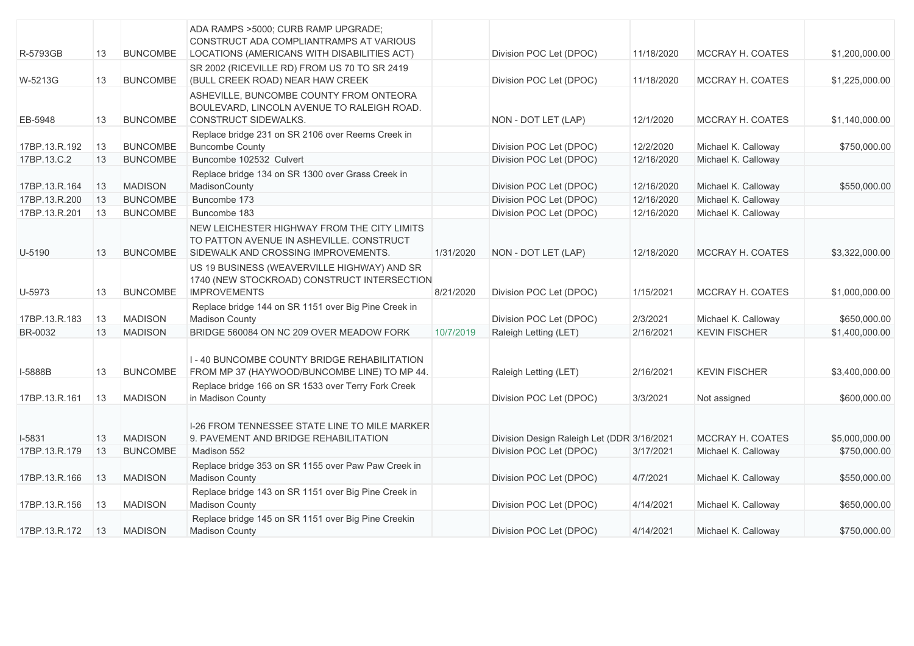| R-5793GB      | 13 | <b>BUNCOMBE</b> | ADA RAMPS >5000; CURB RAMP UPGRADE;<br>CONSTRUCT ADA COMPLIANTRAMPS AT VARIOUS<br>LOCATIONS (AMERICANS WITH DISABILITIES ACT)  |           | Division POC Let (DPOC)                    | 11/18/2020 | MCCRAY H. COATES        | \$1,200,000.00 |
|---------------|----|-----------------|--------------------------------------------------------------------------------------------------------------------------------|-----------|--------------------------------------------|------------|-------------------------|----------------|
| W-5213G       | 13 | <b>BUNCOMBE</b> | SR 2002 (RICEVILLE RD) FROM US 70 TO SR 2419<br>(BULL CREEK ROAD) NEAR HAW CREEK                                               |           | Division POC Let (DPOC)                    | 11/18/2020 | MCCRAY H. COATES        | \$1,225,000.00 |
| EB-5948       | 13 | <b>BUNCOMBE</b> | ASHEVILLE, BUNCOMBE COUNTY FROM ONTEORA<br>BOULEVARD, LINCOLN AVENUE TO RALEIGH ROAD.<br><b>CONSTRUCT SIDEWALKS.</b>           |           | NON - DOT LET (LAP)                        | 12/1/2020  | MCCRAY H. COATES        | \$1,140,000.00 |
| 17BP.13.R.192 | 13 | <b>BUNCOMBE</b> | Replace bridge 231 on SR 2106 over Reems Creek in<br><b>Buncombe County</b>                                                    |           | Division POC Let (DPOC)                    | 12/2/2020  | Michael K. Calloway     | \$750,000.00   |
| 17BP.13.C.2   | 13 | <b>BUNCOMBE</b> | Buncombe 102532 Culvert                                                                                                        |           | Division POC Let (DPOC)                    | 12/16/2020 | Michael K. Calloway     |                |
| 17BP.13.R.164 | 13 | <b>MADISON</b>  | Replace bridge 134 on SR 1300 over Grass Creek in<br>MadisonCounty                                                             |           | Division POC Let (DPOC)                    | 12/16/2020 | Michael K. Calloway     | \$550,000.00   |
| 17BP.13.R.200 | 13 | <b>BUNCOMBE</b> | Buncombe 173                                                                                                                   |           | Division POC Let (DPOC)                    | 12/16/2020 | Michael K. Calloway     |                |
| 17BP.13.R.201 | 13 | <b>BUNCOMBE</b> | Buncombe 183                                                                                                                   |           | Division POC Let (DPOC)                    | 12/16/2020 | Michael K. Calloway     |                |
| U-5190        | 13 | <b>BUNCOMBE</b> | NEW LEICHESTER HIGHWAY FROM THE CITY LIMITS<br>TO PATTON AVENUE IN ASHEVILLE. CONSTRUCT<br>SIDEWALK AND CROSSING IMPROVEMENTS. | 1/31/2020 | NON - DOT LET (LAP)                        | 12/18/2020 | <b>MCCRAY H. COATES</b> | \$3,322,000.00 |
| U-5973        | 13 | <b>BUNCOMBE</b> | US 19 BUSINESS (WEAVERVILLE HIGHWAY) AND SR<br>1740 (NEW STOCKROAD) CONSTRUCT INTERSECTION<br><b>IMPROVEMENTS</b>              | 8/21/2020 | Division POC Let (DPOC)                    | 1/15/2021  | <b>MCCRAY H. COATES</b> | \$1,000,000.00 |
| 17BP.13.R.183 | 13 | <b>MADISON</b>  | Replace bridge 144 on SR 1151 over Big Pine Creek in<br><b>Madison County</b>                                                  |           | Division POC Let (DPOC)                    | 2/3/2021   | Michael K. Calloway     | \$650,000.00   |
| BR-0032       | 13 | <b>MADISON</b>  | BRIDGE 560084 ON NC 209 OVER MEADOW FORK                                                                                       | 10/7/2019 | Raleigh Letting (LET)                      | 2/16/2021  | <b>KEVIN FISCHER</b>    | \$1,400,000.00 |
| I-5888B       | 13 | <b>BUNCOMBE</b> | 1 - 40 BUNCOMBE COUNTY BRIDGE REHABILITATION<br>FROM MP 37 (HAYWOOD/BUNCOMBE LINE) TO MP 44.                                   |           | Raleigh Letting (LET)                      | 2/16/2021  | <b>KEVIN FISCHER</b>    | \$3,400,000.00 |
| 17BP.13.R.161 | 13 | <b>MADISON</b>  | Replace bridge 166 on SR 1533 over Terry Fork Creek<br>in Madison County                                                       |           | Division POC Let (DPOC)                    | 3/3/2021   | Not assigned            | \$600,000.00   |
| $I-5831$      | 13 | <b>MADISON</b>  | I-26 FROM TENNESSEE STATE LINE TO MILE MARKER<br>9. PAVEMENT AND BRIDGE REHABILITATION                                         |           | Division Design Raleigh Let (DDR 3/16/2021 |            | MCCRAY H. COATES        | \$5,000,000.00 |
| 17BP.13.R.179 | 13 | <b>BUNCOMBE</b> | Madison 552                                                                                                                    |           | Division POC Let (DPOC)                    | 3/17/2021  | Michael K. Calloway     | \$750,000.00   |
| 17BP.13.R.166 | 13 | <b>MADISON</b>  | Replace bridge 353 on SR 1155 over Paw Paw Creek in<br><b>Madison County</b>                                                   |           | Division POC Let (DPOC)                    | 4/7/2021   | Michael K. Calloway     | \$550,000.00   |
| 17BP.13.R.156 | 13 | <b>MADISON</b>  | Replace bridge 143 on SR 1151 over Big Pine Creek in<br><b>Madison County</b>                                                  |           | Division POC Let (DPOC)                    | 4/14/2021  | Michael K. Calloway     | \$650,000.00   |
| 17BP.13.R.172 | 13 | <b>MADISON</b>  | Replace bridge 145 on SR 1151 over Big Pine Creekin<br><b>Madison County</b>                                                   |           | Division POC Let (DPOC)                    | 4/14/2021  | Michael K. Calloway     | \$750,000.00   |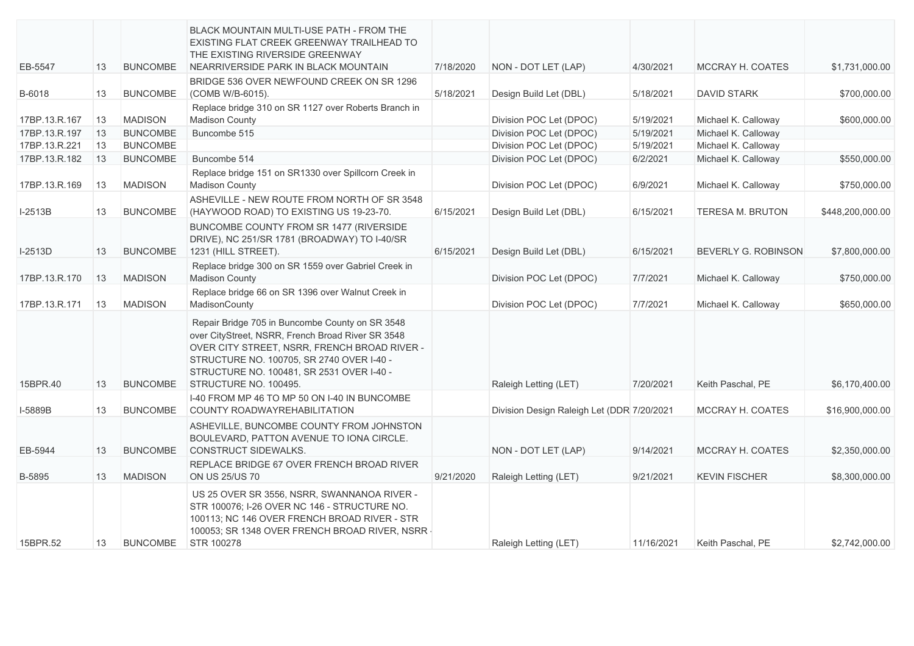| EB-5547       | 13 | <b>BUNCOMBE</b> | <b>BLACK MOUNTAIN MULTI-USE PATH - FROM THE</b><br>EXISTING FLAT CREEK GREENWAY TRAILHEAD TO<br>THE EXISTING RIVERSIDE GREENWAY<br>NEARRIVERSIDE PARK IN BLACK MOUNTAIN                                                                                                 | 7/18/2020 | NON - DOT LET (LAP)                        | 4/30/2021  | <b>MCCRAY H. COATES</b>    | \$1,731,000.00   |
|---------------|----|-----------------|-------------------------------------------------------------------------------------------------------------------------------------------------------------------------------------------------------------------------------------------------------------------------|-----------|--------------------------------------------|------------|----------------------------|------------------|
| B-6018        | 13 | <b>BUNCOMBE</b> | BRIDGE 536 OVER NEWFOUND CREEK ON SR 1296<br>(COMB W/B-6015).                                                                                                                                                                                                           | 5/18/2021 | Design Build Let (DBL)                     | 5/18/2021  | <b>DAVID STARK</b>         | \$700,000.00     |
| 17BP.13.R.167 | 13 | <b>MADISON</b>  | Replace bridge 310 on SR 1127 over Roberts Branch in<br><b>Madison County</b>                                                                                                                                                                                           |           | Division POC Let (DPOC)                    | 5/19/2021  | Michael K. Calloway        | \$600,000.00     |
| 17BP.13.R.197 | 13 | <b>BUNCOMBE</b> | Buncombe 515                                                                                                                                                                                                                                                            |           | Division POC Let (DPOC)                    | 5/19/2021  | Michael K. Calloway        |                  |
| 17BP.13.R.221 | 13 | <b>BUNCOMBE</b> |                                                                                                                                                                                                                                                                         |           | Division POC Let (DPOC)                    | 5/19/2021  | Michael K. Calloway        |                  |
| 17BP.13.R.182 | 13 | <b>BUNCOMBE</b> | Buncombe 514                                                                                                                                                                                                                                                            |           | Division POC Let (DPOC)                    | 6/2/2021   | Michael K. Calloway        | \$550,000.00     |
| 17BP.13.R.169 | 13 | <b>MADISON</b>  | Replace bridge 151 on SR1330 over Spillcorn Creek in<br><b>Madison County</b>                                                                                                                                                                                           |           | Division POC Let (DPOC)                    | 6/9/2021   | Michael K. Calloway        | \$750,000.00     |
| $I-2513B$     | 13 | <b>BUNCOMBE</b> | ASHEVILLE - NEW ROUTE FROM NORTH OF SR 3548<br>(HAYWOOD ROAD) TO EXISTING US 19-23-70.                                                                                                                                                                                  | 6/15/2021 | Design Build Let (DBL)                     | 6/15/2021  | TERESA M. BRUTON           | \$448,200,000.00 |
| $I-2513D$     | 13 | <b>BUNCOMBE</b> | BUNCOMBE COUNTY FROM SR 1477 (RIVERSIDE<br>DRIVE), NC 251/SR 1781 (BROADWAY) TO I-40/SR<br>1231 (HILL STREET).                                                                                                                                                          | 6/15/2021 | Design Build Let (DBL)                     | 6/15/2021  | <b>BEVERLY G. ROBINSON</b> | \$7,800,000.00   |
| 17BP.13.R.170 | 13 | <b>MADISON</b>  | Replace bridge 300 on SR 1559 over Gabriel Creek in<br><b>Madison County</b>                                                                                                                                                                                            |           | Division POC Let (DPOC)                    | 7/7/2021   | Michael K. Calloway        | \$750,000.00     |
| 17BP.13.R.171 | 13 | <b>MADISON</b>  | Replace bridge 66 on SR 1396 over Walnut Creek in<br>MadisonCounty                                                                                                                                                                                                      |           | Division POC Let (DPOC)                    | 7/7/2021   | Michael K. Calloway        | \$650,000.00     |
| 15BPR.40      | 13 | <b>BUNCOMBE</b> | Repair Bridge 705 in Buncombe County on SR 3548<br>over CityStreet, NSRR, French Broad River SR 3548<br>OVER CITY STREET, NSRR, FRENCH BROAD RIVER -<br>STRUCTURE NO. 100705, SR 2740 OVER I-40 -<br>STRUCTURE NO. 100481, SR 2531 OVER I-40 -<br>STRUCTURE NO. 100495. |           | Raleigh Letting (LET)                      | 7/20/2021  | Keith Paschal, PE          | \$6,170,400.00   |
| I-5889B       | 13 | <b>BUNCOMBE</b> | I-40 FROM MP 46 TO MP 50 ON I-40 IN BUNCOMBE<br>COUNTY ROADWAYREHABILITATION                                                                                                                                                                                            |           | Division Design Raleigh Let (DDR 7/20/2021 |            | MCCRAY H. COATES           | \$16,900,000.00  |
| EB-5944       | 13 | <b>BUNCOMBE</b> | ASHEVILLE, BUNCOMBE COUNTY FROM JOHNSTON<br>BOULEVARD, PATTON AVENUE TO IONA CIRCLE.<br>CONSTRUCT SIDEWALKS.                                                                                                                                                            |           | NON - DOT LET (LAP)                        | 9/14/2021  | MCCRAY H. COATES           | \$2,350,000.00   |
| B-5895        | 13 | <b>MADISON</b>  | REPLACE BRIDGE 67 OVER FRENCH BROAD RIVER<br>ON US 25/US 70                                                                                                                                                                                                             | 9/21/2020 | Raleigh Letting (LET)                      | 9/21/2021  | <b>KEVIN FISCHER</b>       | \$8,300,000.00   |
| 15BPR.52      | 13 | <b>BUNCOMBE</b> | US 25 OVER SR 3556, NSRR, SWANNANOA RIVER -<br>STR 100076; I-26 OVER NC 146 - STRUCTURE NO.<br>100113; NC 146 OVER FRENCH BROAD RIVER - STR<br>100053; SR 1348 OVER FRENCH BROAD RIVER, NSRR -<br>STR 100278                                                            |           | Raleigh Letting (LET)                      | 11/16/2021 | Keith Paschal, PE          | \$2,742,000.00   |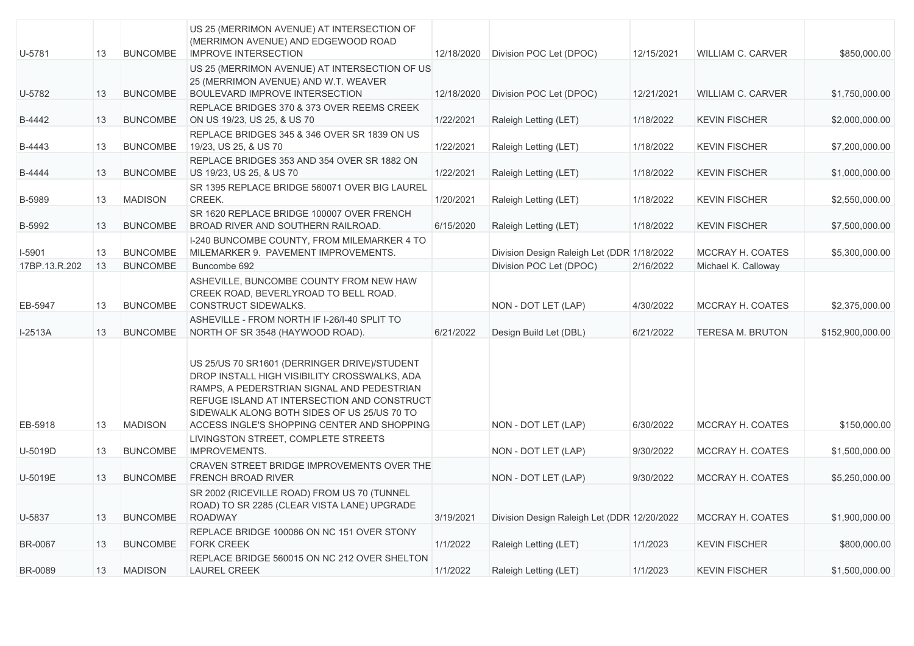| U-5781         | 13 | <b>BUNCOMBE</b> | US 25 (MERRIMON AVENUE) AT INTERSECTION OF<br>(MERRIMON AVENUE) AND EDGEWOOD ROAD<br><b>IMPROVE INTERSECTION</b>                                                                                                                                                                        | 12/18/2020 | Division POC Let (DPOC)                     | 12/15/2021 | WILLIAM C. CARVER        | \$850,000.00     |
|----------------|----|-----------------|-----------------------------------------------------------------------------------------------------------------------------------------------------------------------------------------------------------------------------------------------------------------------------------------|------------|---------------------------------------------|------------|--------------------------|------------------|
| U-5782         | 13 | <b>BUNCOMBE</b> | US 25 (MERRIMON AVENUE) AT INTERSECTION OF US<br>25 (MERRIMON AVENUE) AND W.T. WEAVER<br><b>BOULEVARD IMPROVE INTERSECTION</b>                                                                                                                                                          | 12/18/2020 | Division POC Let (DPOC)                     | 12/21/2021 | <b>WILLIAM C. CARVER</b> | \$1,750,000.00   |
| B-4442         | 13 | <b>BUNCOMBE</b> | REPLACE BRIDGES 370 & 373 OVER REEMS CREEK<br>ON US 19/23, US 25, & US 70                                                                                                                                                                                                               | 1/22/2021  | Raleigh Letting (LET)                       | 1/18/2022  | <b>KEVIN FISCHER</b>     | \$2,000,000.00   |
| B-4443         | 13 | <b>BUNCOMBE</b> | REPLACE BRIDGES 345 & 346 OVER SR 1839 ON US<br>19/23, US 25, & US 70                                                                                                                                                                                                                   | 1/22/2021  | Raleigh Letting (LET)                       | 1/18/2022  | <b>KEVIN FISCHER</b>     | \$7,200,000.00   |
| B-4444         | 13 | <b>BUNCOMBE</b> | REPLACE BRIDGES 353 AND 354 OVER SR 1882 ON<br>US 19/23, US 25, & US 70                                                                                                                                                                                                                 | 1/22/2021  | Raleigh Letting (LET)                       | 1/18/2022  | <b>KEVIN FISCHER</b>     | \$1,000,000.00   |
| B-5989         | 13 | <b>MADISON</b>  | SR 1395 REPLACE BRIDGE 560071 OVER BIG LAUREL<br>CREEK.                                                                                                                                                                                                                                 | 1/20/2021  | Raleigh Letting (LET)                       | 1/18/2022  | <b>KEVIN FISCHER</b>     | \$2,550,000.00   |
| B-5992         | 13 | <b>BUNCOMBE</b> | SR 1620 REPLACE BRIDGE 100007 OVER FRENCH<br>BROAD RIVER AND SOUTHERN RAILROAD.                                                                                                                                                                                                         | 6/15/2020  | Raleigh Letting (LET)                       | 1/18/2022  | <b>KEVIN FISCHER</b>     | \$7,500,000.00   |
| $I-5901$       | 13 | <b>BUNCOMBE</b> | I-240 BUNCOMBE COUNTY, FROM MILEMARKER 4 TO<br>MILEMARKER 9. PAVEMENT IMPROVEMENTS.                                                                                                                                                                                                     |            | Division Design Raleigh Let (DDR 1/18/2022  |            | MCCRAY H. COATES         | \$5,300,000.00   |
| 17BP.13.R.202  | 13 | <b>BUNCOMBE</b> | Buncombe 692                                                                                                                                                                                                                                                                            |            | Division POC Let (DPOC)                     | 2/16/2022  | Michael K. Calloway      |                  |
| EB-5947        | 13 | <b>BUNCOMBE</b> | ASHEVILLE, BUNCOMBE COUNTY FROM NEW HAW<br>CREEK ROAD, BEVERLYROAD TO BELL ROAD.<br><b>CONSTRUCT SIDEWALKS.</b>                                                                                                                                                                         |            | NON - DOT LET (LAP)                         | 4/30/2022  | MCCRAY H. COATES         | \$2,375,000.00   |
| $I-2513A$      | 13 | <b>BUNCOMBE</b> | ASHEVILLE - FROM NORTH IF I-26/I-40 SPLIT TO<br>NORTH OF SR 3548 (HAYWOOD ROAD).                                                                                                                                                                                                        | 6/21/2022  | Design Build Let (DBL)                      | 6/21/2022  | <b>TERESA M. BRUTON</b>  | \$152,900,000.00 |
| EB-5918        | 13 | <b>MADISON</b>  | US 25/US 70 SR1601 (DERRINGER DRIVE)/STUDENT<br>DROP INSTALL HIGH VISIBILITY CROSSWALKS, ADA<br>RAMPS, A PEDERSTRIAN SIGNAL AND PEDESTRIAN<br>REFUGE ISLAND AT INTERSECTION AND CONSTRUCT<br>SIDEWALK ALONG BOTH SIDES OF US 25/US 70 TO<br>ACCESS INGLE'S SHOPPING CENTER AND SHOPPING |            | NON - DOT LET (LAP)                         | 6/30/2022  | MCCRAY H. COATES         | \$150,000.00     |
| U-5019D        | 13 | <b>BUNCOMBE</b> | LIVINGSTON STREET, COMPLETE STREETS<br><b>IMPROVEMENTS.</b>                                                                                                                                                                                                                             |            | NON - DOT LET (LAP)                         | 9/30/2022  | MCCRAY H. COATES         | \$1,500,000.00   |
| U-5019E        | 13 | <b>BUNCOMBE</b> | CRAVEN STREET BRIDGE IMPROVEMENTS OVER THE<br><b>FRENCH BROAD RIVER</b>                                                                                                                                                                                                                 |            | NON - DOT LET (LAP)                         | 9/30/2022  | MCCRAY H. COATES         | \$5,250,000.00   |
| U-5837         | 13 | <b>BUNCOMBE</b> | SR 2002 (RICEVILLE ROAD) FROM US 70 (TUNNEL<br>ROAD) TO SR 2285 (CLEAR VISTA LANE) UPGRADE<br><b>ROADWAY</b>                                                                                                                                                                            | 3/19/2021  | Division Design Raleigh Let (DDR 12/20/2022 |            | MCCRAY H. COATES         | \$1,900,000.00   |
| <b>BR-0067</b> | 13 | <b>BUNCOMBE</b> | REPLACE BRIDGE 100086 ON NC 151 OVER STONY<br><b>FORK CREEK</b>                                                                                                                                                                                                                         | 1/1/2022   | Raleigh Letting (LET)                       | 1/1/2023   | <b>KEVIN FISCHER</b>     | \$800,000.00     |
| <b>BR-0089</b> | 13 | <b>MADISON</b>  | REPLACE BRIDGE 560015 ON NC 212 OVER SHELTON<br><b>LAUREL CREEK</b>                                                                                                                                                                                                                     | 1/1/2022   | Raleigh Letting (LET)                       | 1/1/2023   | <b>KEVIN FISCHER</b>     | \$1,500,000.00   |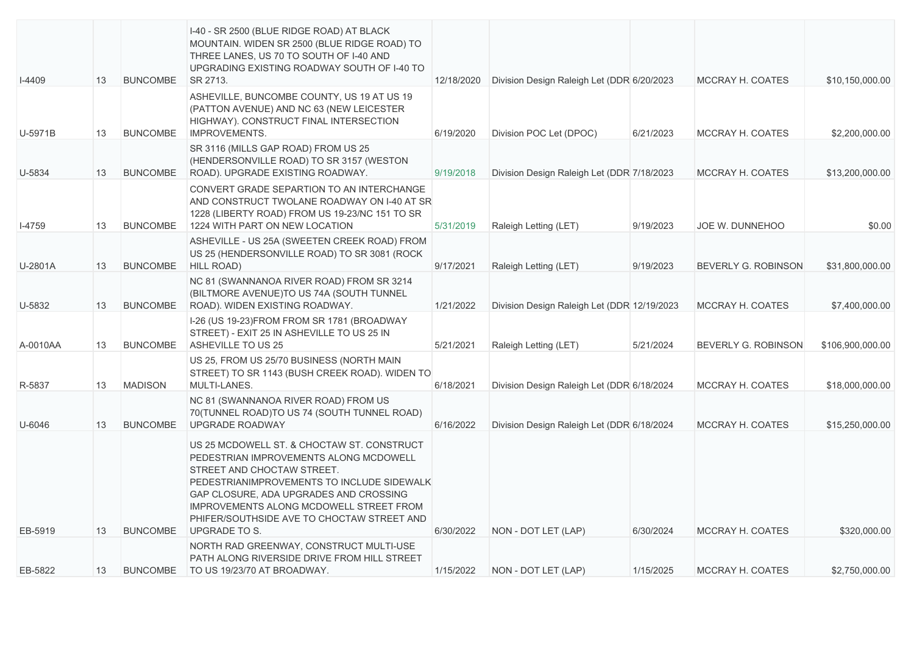| $I-4409$ | 13 | <b>BUNCOMBE</b> | I-40 - SR 2500 (BLUE RIDGE ROAD) AT BLACK<br>MOUNTAIN. WIDEN SR 2500 (BLUE RIDGE ROAD) TO<br>THREE LANES, US 70 TO SOUTH OF I-40 AND<br>UPGRADING EXISTING ROADWAY SOUTH OF I-40 TO<br>SR 2713.                                                                                                                                    | 12/18/2020 | Division Design Raleigh Let (DDR 6/20/2023) |           | MCCRAY H. COATES        | \$10,150,000.00  |
|----------|----|-----------------|------------------------------------------------------------------------------------------------------------------------------------------------------------------------------------------------------------------------------------------------------------------------------------------------------------------------------------|------------|---------------------------------------------|-----------|-------------------------|------------------|
| U-5971B  | 13 | <b>BUNCOMBE</b> | ASHEVILLE, BUNCOMBE COUNTY, US 19 AT US 19<br>(PATTON AVENUE) AND NC 63 (NEW LEICESTER<br>HIGHWAY). CONSTRUCT FINAL INTERSECTION<br><b>IMPROVEMENTS.</b>                                                                                                                                                                           | 6/19/2020  | Division POC Let (DPOC)                     | 6/21/2023 | MCCRAY H. COATES        | \$2,200,000.00   |
| U-5834   | 13 | <b>BUNCOMBE</b> | SR 3116 (MILLS GAP ROAD) FROM US 25<br>(HENDERSONVILLE ROAD) TO SR 3157 (WESTON<br>ROAD). UPGRADE EXISTING ROADWAY.                                                                                                                                                                                                                | 9/19/2018  | Division Design Raleigh Let (DDR 7/18/2023) |           | MCCRAY H. COATES        | \$13,200,000.00  |
| $I-4759$ | 13 | <b>BUNCOMBE</b> | CONVERT GRADE SEPARTION TO AN INTERCHANGE<br>AND CONSTRUCT TWOLANE ROADWAY ON I-40 AT SR<br>1228 (LIBERTY ROAD) FROM US 19-23/NC 151 TO SR<br>1224 WITH PART ON NEW LOCATION                                                                                                                                                       | 5/31/2019  | Raleigh Letting (LET)                       | 9/19/2023 | JOE W. DUNNEHOO         | \$0.00           |
| U-2801A  | 13 | <b>BUNCOMBE</b> | ASHEVILLE - US 25A (SWEETEN CREEK ROAD) FROM<br>US 25 (HENDERSONVILLE ROAD) TO SR 3081 (ROCK)<br><b>HILL ROAD)</b>                                                                                                                                                                                                                 | 9/17/2021  | Raleigh Letting (LET)                       | 9/19/2023 | BEVERLY G. ROBINSON     | \$31,800,000.00  |
| U-5832   | 13 | <b>BUNCOMBE</b> | NC 81 (SWANNANOA RIVER ROAD) FROM SR 3214<br>(BILTMORE AVENUE)TO US 74A (SOUTH TUNNEL<br>ROAD). WIDEN EXISTING ROADWAY.                                                                                                                                                                                                            | 1/21/2022  | Division Design Raleigh Let (DDR 12/19/2023 |           | MCCRAY H. COATES        | \$7,400,000.00   |
| A-0010AA | 13 | <b>BUNCOMBE</b> | I-26 (US 19-23) FROM FROM SR 1781 (BROADWAY<br>STREET) - EXIT 25 IN ASHEVILLE TO US 25 IN<br>ASHEVILLE TO US 25                                                                                                                                                                                                                    | 5/21/2021  | Raleigh Letting (LET)                       | 5/21/2024 | BEVERLY G. ROBINSON     | \$106,900,000.00 |
| R-5837   | 13 | <b>MADISON</b>  | US 25, FROM US 25/70 BUSINESS (NORTH MAIN<br>STREET) TO SR 1143 (BUSH CREEK ROAD). WIDEN TO<br>MULTI-LANES.                                                                                                                                                                                                                        | 6/18/2021  | Division Design Raleigh Let (DDR 6/18/2024  |           | MCCRAY H. COATES        | \$18,000,000.00  |
| U-6046   | 13 | <b>BUNCOMBE</b> | NC 81 (SWANNANOA RIVER ROAD) FROM US<br>70(TUNNEL ROAD)TO US 74 (SOUTH TUNNEL ROAD)<br><b>UPGRADE ROADWAY</b>                                                                                                                                                                                                                      | 6/16/2022  | Division Design Raleigh Let (DDR 6/18/2024  |           | MCCRAY H. COATES        | \$15,250,000.00  |
| EB-5919  | 13 | <b>BUNCOMBE</b> | US 25 MCDOWELL ST. & CHOCTAW ST. CONSTRUCT<br>PEDESTRIAN IMPROVEMENTS ALONG MCDOWELL<br>STREET AND CHOCTAW STREET.<br>PEDESTRIANIMPROVEMENTS TO INCLUDE SIDEWALK<br>GAP CLOSURE, ADA UPGRADES AND CROSSING<br><b>IMPROVEMENTS ALONG MCDOWELL STREET FROM</b><br>PHIFER/SOUTHSIDE AVE TO CHOCTAW STREET AND<br><b>UPGRADE TO S.</b> | 6/30/2022  | NON - DOT LET (LAP)                         | 6/30/2024 | <b>MCCRAY H. COATES</b> | \$320,000.00     |
| EB-5822  | 13 | <b>BUNCOMBE</b> | NORTH RAD GREENWAY, CONSTRUCT MULTI-USE<br>PATH ALONG RIVERSIDE DRIVE FROM HILL STREET<br>TO US 19/23/70 AT BROADWAY.                                                                                                                                                                                                              | 1/15/2022  | NON - DOT LET (LAP)                         | 1/15/2025 | MCCRAY H. COATES        | \$2,750,000.00   |